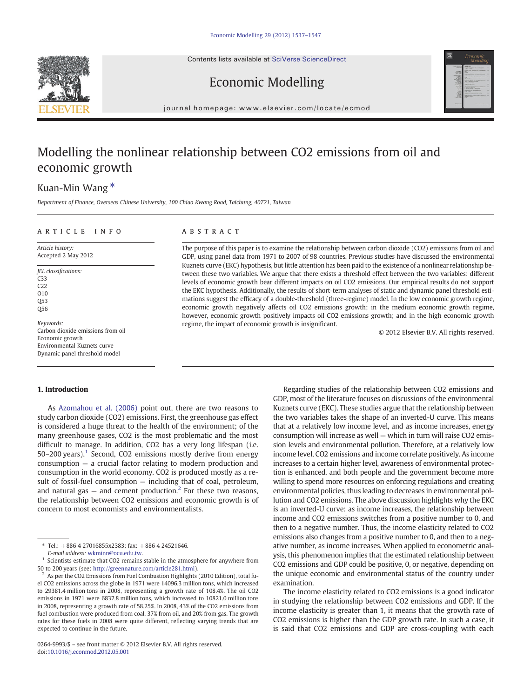Contents lists available at [SciVerse ScienceDirect](http://www.sciencedirect.com/science/journal/02649993)





Economic Modelling

journal homepage: www.elsevier.com/locate/ecmod

# Modelling the nonlinear relationship between CO2 emissions from oil and economic growth

## Kuan-Min Wang<sup>\*</sup>

Department of Finance, Overseas Chinese University, 100 Chiao Kwang Road, Taichung, 40721, Taiwan

### ARTICLE INFO ABSTRACT

Article history: Accepted 2 May 2012

JEL classifications: C33 C22 O10  $O53$ Q56 Keywords:

Carbon dioxide emissions from oil Economic growth Environmental Kuznets curve Dynamic panel threshold model

### 1. Introduction

As [Azomahou et al. \(2006\)](#page--1-0) point out, there are two reasons to study carbon dioxide (CO2) emissions. First, the greenhouse gas effect is considered a huge threat to the health of the environment; of the many greenhouse gases, CO2 is the most problematic and the most difficult to manage. In addition, CO2 has a very long lifespan (i.e. 50–200 years).<sup>1</sup> Second, CO2 emissions mostly derive from energy consumption — a crucial factor relating to modern production and consumption in the world economy. CO2 is produced mostly as a result of fossil-fuel consumption — including that of coal, petroleum, and natural gas  $-$  and cement production.<sup>2</sup> For these two reasons, the relationship between CO2 emissions and economic growth is of concern to most economists and environmentalists.

The purpose of this paper is to examine the relationship between carbon dioxide (CO2) emissions from oil and GDP, using panel data from 1971 to 2007 of 98 countries. Previous studies have discussed the environmental Kuznets curve (EKC) hypothesis, but little attention has been paid to the existence of a nonlinear relationship between these two variables. We argue that there exists a threshold effect between the two variables: different levels of economic growth bear different impacts on oil CO2 emissions. Our empirical results do not support the EKC hypothesis. Additionally, the results of short-term analyses of static and dynamic panel threshold estimations suggest the efficacy of a double-threshold (three-regime) model. In the low economic growth regime, economic growth negatively affects oil CO2 emissions growth; in the medium economic growth regime, however, economic growth positively impacts oil CO2 emissions growth; and in the high economic growth regime, the impact of economic growth is insignificant.

© 2012 Elsevier B.V. All rights reserved.

Regarding studies of the relationship between CO2 emissions and GDP, most of the literature focuses on discussions of the environmental Kuznets curve (EKC). These studies argue that the relationship between the two variables takes the shape of an inverted-U curve. This means that at a relatively low income level, and as income increases, energy consumption will increase as well — which in turn will raise CO2 emission levels and environmental pollution. Therefore, at a relatively low income level, CO2 emissions and income correlate positively. As income increases to a certain higher level, awareness of environmental protection is enhanced, and both people and the government become more willing to spend more resources on enforcing regulations and creating environmental policies, thus leading to decreases in environmental pollution and CO2 emissions. The above discussion highlights why the EKC is an inverted-U curve: as income increases, the relationship between income and CO2 emissions switches from a positive number to 0, and then to a negative number. Thus, the income elasticity related to CO2 emissions also changes from a positive number to 0, and then to a negative number, as income increases. When applied to econometric analysis, this phenomenon implies that the estimated relationship between CO2 emissions and GDP could be positive, 0, or negative, depending on the unique economic and environmental status of the country under examination.

The income elasticity related to CO2 emissions is a good indicator in studying the relationship between CO2 emissions and GDP. If the income elasticity is greater than 1, it means that the growth rate of CO2 emissions is higher than the GDP growth rate. In such a case, it is said that CO2 emissions and GDP are cross-coupling with each

<sup>⁎</sup> Tel.: +886 4 27016855x2383; fax: +886 4 24521646.

E-mail address: [wkminn@ocu.edu.tw](mailto:wkminn@ocu.edu.tw).

<sup>&</sup>lt;sup>1</sup> Scientists estimate that CO2 remains stable in the atmosphere for anywhere from 50 to 200 years (see: <http://greennature.com/article281.html>).

<sup>2</sup> As per the CO2 Emissions from Fuel Combustion Highlights (2010 Edition), total fuel CO2 emissions across the globe in 1971 were 14096.3 million tons, which increased to 29381.4 million tons in 2008, representing a growth rate of 108.4%. The oil CO2 emissions in 1971 were 6837.8 million tons, which increased to 10821.0 million tons in 2008, representing a growth rate of 58.25%. In 2008, 43% of the CO2 emissions from fuel combustion were produced from coal, 37% from oil, and 20% from gas. The growth rates for these fuels in 2008 were quite different, reflecting varying trends that are expected to continue in the future.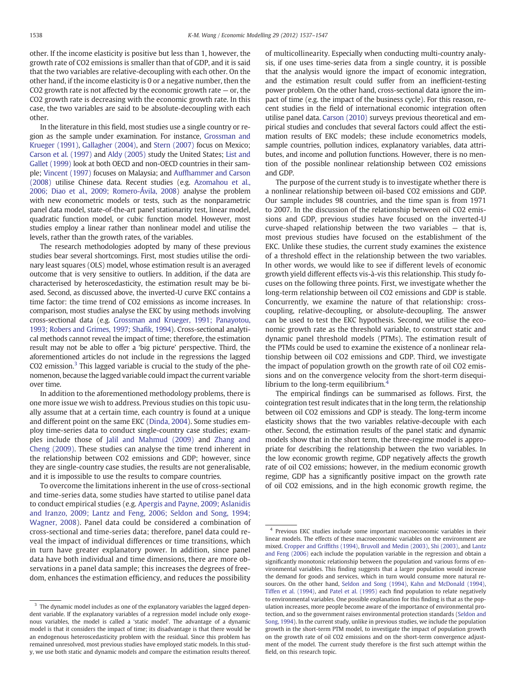other. If the income elasticity is positive but less than 1, however, the growth rate of CO2 emissions is smaller than that of GDP, and it is said that the two variables are relative-decoupling with each other. On the other hand, if the income elasticity is 0 or a negative number, then the CO2 growth rate is not affected by the economic growth rate  $-$  or, the CO2 growth rate is decreasing with the economic growth rate. In this case, the two variables are said to be absolute-decoupling with each other.

In the literature in this field, most studies use a single country or region as the sample under examination. For instance, [Grossman and](#page--1-0) [Krueger \(1991\)](#page--1-0), [Gallagher \(2004\),](#page--1-0) and [Stern \(2007\)](#page--1-0) focus on Mexico; [Carson et al. \(1997\)](#page--1-0) and [Aldy \(2005\)](#page--1-0) study the United States; [List and](#page--1-0) [Gallet \(1999\)](#page--1-0) look at both OECD and non-OECD countries in their sample; [Vincent \(1997\)](#page--1-0) focuses on Malaysia; and [Auffhammer and Carson](#page--1-0) [\(2008\)](#page--1-0) utilise Chinese data. Recent studies (e.g. [Azomahou et al.,](#page--1-0) [2006; Diao et al., 2009; Romero-Ávila, 2008\)](#page--1-0) analyse the problem with new econometric models or tests, such as the nonparametric panel data model, state-of-the-art panel stationarity test, linear model, quadratic function model, or cubic function model. However, most studies employ a linear rather than nonlinear model and utilise the levels, rather than the growth rates, of the variables.

The research methodologies adopted by many of these previous studies bear several shortcomings. First, most studies utilise the ordinary least squares (OLS) model, whose estimation result is an averaged outcome that is very sensitive to outliers. In addition, if the data are characterised by heteroscedasticity, the estimation result may be biased. Second, as discussed above, the inverted-U curve EKC contains a time factor: the time trend of CO2 emissions as income increases. In comparison, most studies analyse the EKC by using methods involving cross-sectional data (e.g. [Grossman and Krueger, 1991; Panayotou,](#page--1-0) [1993; Robers and Grimes, 1997; Sha](#page--1-0)fik, 1994). Cross-sectional analytical methods cannot reveal the impact of time; therefore, the estimation result may not be able to offer a 'big picture' perspective. Third, the aforementioned articles do not include in the regressions the lagged CO2 emission. $3$  This lagged variable is crucial to the study of the phenomenon, because the lagged variable could impact the current variable over time.

In addition to the aforementioned methodology problems, there is one more issue we wish to address. Previous studies on this topic usually assume that at a certain time, each country is found at a unique and different point on the same EKC ([Dinda, 2004](#page--1-0)). Some studies employ time-series data to conduct single-country case studies; examples include those of [Jalil and Mahmud \(2009\)](#page--1-0) and [Zhang and](#page--1-0) [Cheng \(2009\).](#page--1-0) These studies can analyse the time trend inherent in the relationship between CO2 emissions and GDP; however, since they are single-country case studies, the results are not generalisable, and it is impossible to use the results to compare countries.

To overcome the limitations inherent in the use of cross-sectional and time-series data, some studies have started to utilise panel data to conduct empirical studies (e.g. [Apergis and Payne, 2009; Aslanidis](#page--1-0) [and Iranzo, 2009; Lantz and Feng, 2006; Seldon and Song, 1994;](#page--1-0) [Wagner, 2008](#page--1-0)). Panel data could be considered a combination of cross-sectional and time-series data; therefore, panel data could reveal the impact of individual differences or time transitions, which in turn have greater explanatory power. In addition, since panel data have both individual and time dimensions, there are more observations in a panel data sample; this increases the degrees of freedom, enhances the estimation efficiency, and reduces the possibility of multicollinearity. Especially when conducting multi-country analysis, if one uses time-series data from a single country, it is possible that the analysis would ignore the impact of economic integration, and the estimation result could suffer from an inefficient-testing power problem. On the other hand, cross-sectional data ignore the impact of time (e.g. the impact of the business cycle). For this reason, recent studies in the field of international economic integration often utilise panel data. [Carson \(2010\)](#page--1-0) surveys previous theoretical and empirical studies and concludes that several factors could affect the estimation results of EKC models; these include econometrics models, sample countries, pollution indices, explanatory variables, data attributes, and income and pollution functions. However, there is no mention of the possible nonlinear relationship between CO2 emissions and GDP.

The purpose of the current study is to investigate whether there is a nonlinear relationship between oil-based CO2 emissions and GDP. Our sample includes 98 countries, and the time span is from 1971 to 2007. In the discussion of the relationship between oil CO2 emissions and GDP, previous studies have focused on the inverted-U curve-shaped relationship between the two variables — that is, most previous studies have focused on the establishment of the EKC. Unlike these studies, the current study examines the existence of a threshold effect in the relationship between the two variables. In other words, we would like to see if different levels of economic growth yield different effects vis-à-vis this relationship. This study focuses on the following three points. First, we investigate whether the long-term relationship between oil CO2 emissions and GDP is stable. Concurrently, we examine the nature of that relationship: crosscoupling, relative-decoupling, or absolute-decoupling. The answer can be used to test the EKC hypothesis. Second, we utilise the economic growth rate as the threshold variable, to construct static and dynamic panel threshold models (PTMs). The estimation result of the PTMs could be used to examine the existence of a nonlinear relationship between oil CO2 emissions and GDP. Third, we investigate the impact of population growth on the growth rate of oil CO2 emissions and on the convergence velocity from the short-term disequilibrium to the long-term equilibrium.<sup>4</sup>

The empirical findings can be summarised as follows. First, the cointegration test result indicates that in the long term, the relationship between oil CO2 emissions and GDP is steady. The long-term income elasticity shows that the two variables relative-decouple with each other. Second, the estimation results of the panel static and dynamic models show that in the short term, the three-regime model is appropriate for describing the relationship between the two variables. In the low economic growth regime, GDP negatively affects the growth rate of oil CO2 emissions; however, in the medium economic growth regime, GDP has a significantly positive impact on the growth rate of oil CO2 emissions, and in the high economic growth regime, the

 $3$  The dynamic model includes as one of the explanatory variables the lagged dependent variable. If the explanatory variables of a regression model include only exogenous variables, the model is called a 'static model'. The advantage of a dynamic model is that it considers the impact of time; its disadvantage is that there would be an endogenous heteroscedasticity problem with the residual. Since this problem has remained unresolved, most previous studies have employed static models. In this study, we use both static and dynamic models and compare the estimation results thereof.

<sup>4</sup> Previous EKC studies include some important macroeconomic variables in their linear models. The effects of these macroeconomic variables on the environment are mixed. [Cropper and Grif](#page--1-0)fiths (1994), [Bruvoll and Medin \(2003\),](#page--1-0) [Shi \(2003\)](#page--1-0), and [Lantz](#page--1-0) [and Feng \(2006\)](#page--1-0) each include the population variable in the regression and obtain a significantly monotonic relationship between the population and various forms of environmental variables. This finding suggests that a larger population would increase the demand for goods and services, which in turn would consume more natural resources. On the other hand, [Seldon and Song \(1994\),](#page--1-0) [Kahn and McDonald \(1994\)](#page--1-0), [Tiffen et al. \(1994\)](#page--1-0), and [Patel et al. \(1995\)](#page--1-0) each find population to relate negatively to environmental variables. One possible explanation for this finding is that as the population increases, more people become aware of the importance of environmental protection, and so the government raises environmental protection standards ([Seldon and](#page--1-0) [Song, 1994\)](#page--1-0). In the current study, unlike in previous studies, we include the population growth in the short-term PTM model, to investigate the impact of population growth on the growth rate of oil CO2 emissions and on the short-term convergence adjustment of the model. The current study therefore is the first such attempt within the field, on this research topic.